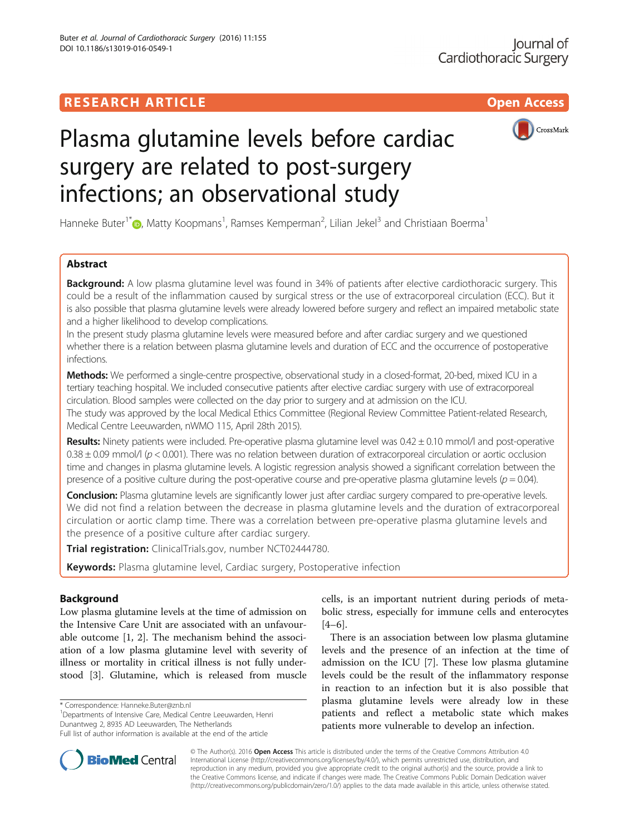# **RESEARCH ARTICLE Example 2018 12:00 Department of the Contract Open Access**



# Plasma glutamine levels before cardiac surgery are related to post-surgery infections; an observational study

Hanneke Buter<sup>1[\\*](http://orcid.org/0000-0001-8594-9079)</sup>�, Matty Koopmans<sup>1</sup>, Ramses Kemperman<sup>2</sup>, Lilian Jekel<sup>3</sup> and Christiaan Boerma<sup>1</sup>

# Abstract

Background: A low plasma glutamine level was found in 34% of patients after elective cardiothoracic surgery. This could be a result of the inflammation caused by surgical stress or the use of extracorporeal circulation (ECC). But it is also possible that plasma glutamine levels were already lowered before surgery and reflect an impaired metabolic state and a higher likelihood to develop complications.

In the present study plasma glutamine levels were measured before and after cardiac surgery and we questioned whether there is a relation between plasma glutamine levels and duration of ECC and the occurrence of postoperative infections.

Methods: We performed a single-centre prospective, observational study in a closed-format, 20-bed, mixed ICU in a tertiary teaching hospital. We included consecutive patients after elective cardiac surgery with use of extracorporeal circulation. Blood samples were collected on the day prior to surgery and at admission on the ICU.

The study was approved by the local Medical Ethics Committee (Regional Review Committee Patient-related Research, Medical Centre Leeuwarden, nWMO 115, April 28th 2015).

Results: Ninety patients were included. Pre-operative plasma glutamine level was  $0.42 \pm 0.10$  mmol/l and post-operative  $0.38 \pm 0.09$  mmol/l ( $p < 0.001$ ). There was no relation between duration of extracorporeal circulation or aortic occlusion time and changes in plasma glutamine levels. A logistic regression analysis showed a significant correlation between the presence of a positive culture during the post-operative course and pre-operative plasma glutamine levels ( $p = 0.04$ ).

Conclusion: Plasma glutamine levels are significantly lower just after cardiac surgery compared to pre-operative levels. We did not find a relation between the decrease in plasma glutamine levels and the duration of extracorporeal circulation or aortic clamp time. There was a correlation between pre-operative plasma glutamine levels and the presence of a positive culture after cardiac surgery.

Trial registration: ClinicalTrials.gov, number [NCT02444780](http://www.clinicaltrials.gov/ct2/show/NCT02444780?term=buter&rank=2).

Keywords: Plasma glutamine level, Cardiac surgery, Postoperative infection

# Background

Low plasma glutamine levels at the time of admission on the Intensive Care Unit are associated with an unfavourable outcome [\[1](#page-3-0), [2](#page-3-0)]. The mechanism behind the association of a low plasma glutamine level with severity of illness or mortality in critical illness is not fully understood [\[3\]](#page-3-0). Glutamine, which is released from muscle

\* Correspondence: [Hanneke.Buter@znb.nl](mailto:Hanneke.Buter@znb.nl) <sup>1</sup>

<sup>1</sup>Departments of Intensive Care, Medical Centre Leeuwarden, Henri Dunantweg 2, 8935 AD Leeuwarden, The Netherlands

cells, is an important nutrient during periods of metabolic stress, especially for immune cells and enterocytes [[4](#page-3-0)–[6\]](#page-3-0).

There is an association between low plasma glutamine levels and the presence of an infection at the time of admission on the ICU [[7\]](#page-3-0). These low plasma glutamine levels could be the result of the inflammatory response in reaction to an infection but it is also possible that plasma glutamine levels were already low in these patients and reflect a metabolic state which makes patients more vulnerable to develop an infection.



© The Author(s). 2016 **Open Access** This article is distributed under the terms of the Creative Commons Attribution 4.0 International License [\(http://creativecommons.org/licenses/by/4.0/](http://creativecommons.org/licenses/by/4.0/)), which permits unrestricted use, distribution, and reproduction in any medium, provided you give appropriate credit to the original author(s) and the source, provide a link to the Creative Commons license, and indicate if changes were made. The Creative Commons Public Domain Dedication waiver [\(http://creativecommons.org/publicdomain/zero/1.0/](http://creativecommons.org/publicdomain/zero/1.0/)) applies to the data made available in this article, unless otherwise stated.

Full list of author information is available at the end of the article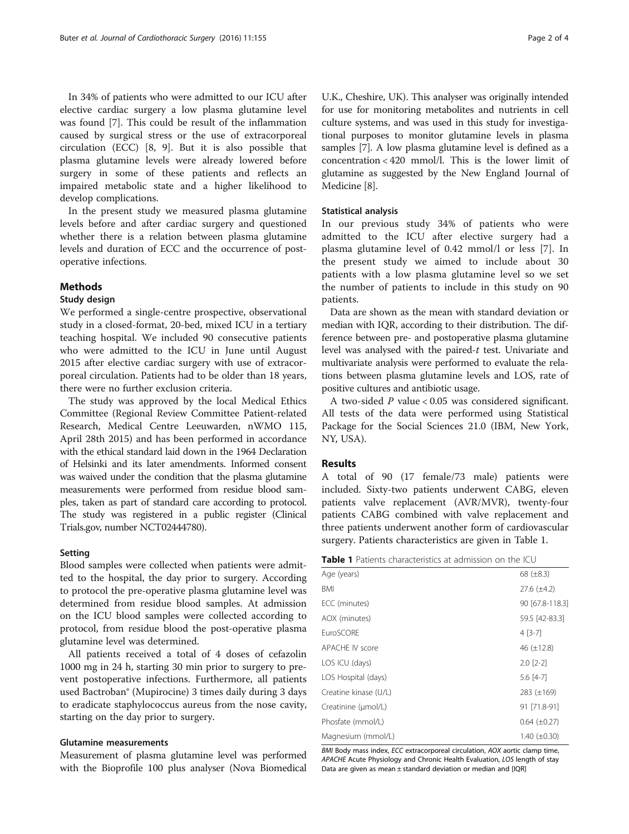In 34% of patients who were admitted to our ICU after elective cardiac surgery a low plasma glutamine level was found [\[7](#page-3-0)]. This could be result of the inflammation caused by surgical stress or the use of extracorporeal circulation (ECC) [[8, 9\]](#page-3-0). But it is also possible that plasma glutamine levels were already lowered before surgery in some of these patients and reflects an impaired metabolic state and a higher likelihood to develop complications.

In the present study we measured plasma glutamine levels before and after cardiac surgery and questioned whether there is a relation between plasma glutamine levels and duration of ECC and the occurrence of postoperative infections.

# Methods

# Study design

We performed a single-centre prospective, observational study in a closed-format, 20-bed, mixed ICU in a tertiary teaching hospital. We included 90 consecutive patients who were admitted to the ICU in June until August 2015 after elective cardiac surgery with use of extracorporeal circulation. Patients had to be older than 18 years, there were no further exclusion criteria.

The study was approved by the local Medical Ethics Committee (Regional Review Committee Patient-related Research, Medical Centre Leeuwarden, nWMO 115, April 28th 2015) and has been performed in accordance with the ethical standard laid down in the 1964 Declaration of Helsinki and its later amendments. Informed consent was waived under the condition that the plasma glutamine measurements were performed from residue blood samples, taken as part of standard care according to protocol. The study was registered in a public register (Clinical Trials.gov, number [NCT02444780\)](http://www.clinicaltrials.gov/NCT02444780).

#### Setting

Blood samples were collected when patients were admitted to the hospital, the day prior to surgery. According to protocol the pre-operative plasma glutamine level was determined from residue blood samples. At admission on the ICU blood samples were collected according to protocol, from residue blood the post-operative plasma glutamine level was determined.

All patients received a total of 4 doses of cefazolin 1000 mg in 24 h, starting 30 min prior to surgery to prevent postoperative infections. Furthermore, all patients used Bactroban® (Mupirocine) 3 times daily during 3 days to eradicate staphylococcus aureus from the nose cavity, starting on the day prior to surgery.

# Glutamine measurements

Measurement of plasma glutamine level was performed with the Bioprofile 100 plus analyser (Nova Biomedical

U.K., Cheshire, UK). This analyser was originally intended for use for monitoring metabolites and nutrients in cell culture systems, and was used in this study for investigational purposes to monitor glutamine levels in plasma samples [[7\]](#page-3-0). A low plasma glutamine level is defined as a concentration < 420 mmol/l. This is the lower limit of glutamine as suggested by the New England Journal of Medicine [[8\]](#page-3-0).

# Statistical analysis

In our previous study 34% of patients who were admitted to the ICU after elective surgery had a plasma glutamine level of 0.42 mmol/l or less [[7\]](#page-3-0). In the present study we aimed to include about 30 patients with a low plasma glutamine level so we set the number of patients to include in this study on 90 patients.

Data are shown as the mean with standard deviation or median with IQR, according to their distribution. The difference between pre- and postoperative plasma glutamine level was analysed with the paired- $t$  test. Univariate and multivariate analysis were performed to evaluate the relations between plasma glutamine levels and LOS, rate of positive cultures and antibiotic usage.

A two-sided P value < 0.05 was considered significant. All tests of the data were performed using Statistical Package for the Social Sciences 21.0 (IBM, New York, NY, USA).

## Results

A total of 90 (17 female/73 male) patients were included. Sixty-two patients underwent CABG, eleven patients valve replacement (AVR/MVR), twenty-four patients CABG combined with valve replacement and three patients underwent another form of cardiovascular surgery. Patients characteristics are given in Table 1.

| <b>Table 1</b> Patients characteristics at admission on the ICU |
|-----------------------------------------------------------------|
|-----------------------------------------------------------------|

| Age (years)           | 68 $(\pm 8.3)$        |
|-----------------------|-----------------------|
| BMI                   | $27.6 (\pm 4.2)$      |
| ECC (minutes)         | 90 [67.8-118.3]       |
| AOX (minutes)         | 59.5 [42-83.3]        |
| EuroSCORE             | $4$ [3-7]             |
| APACHE IV score       | 46 $(\pm 12.8)$       |
| LOS ICU (days)        | $2.0$ [2-2]           |
| LOS Hospital (days)   | $5.6$ [4-7]           |
| Creatine kinase (U/L) | $283 (\pm 169)$       |
| Creatinine (µmol/L)   | 91 [71.8-91]          |
| Phosfate (mmol/L)     | $0.64$ ( $\pm 0.27$ ) |
| Magnesium (mmol/L)    | 1.40 $(\pm 0.30)$     |

BMI Body mass index, ECC extracorporeal circulation, AOX aortic clamp time, APACHE Acute Physiology and Chronic Health Evaluation, LOS length of stay Data are given as mean ± standard deviation or median and [IQR]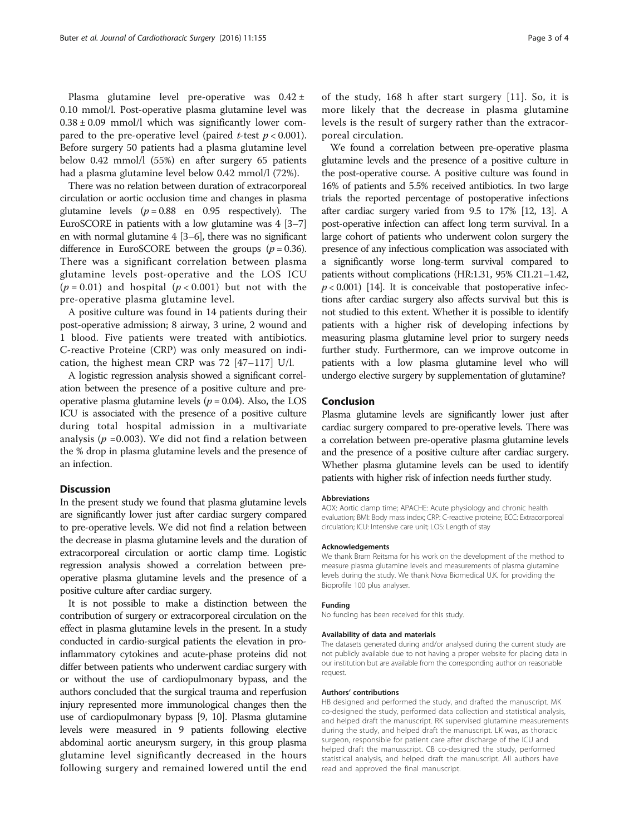Plasma glutamine level pre-operative was 0.42 ± 0.10 mmol/l. Post-operative plasma glutamine level was  $0.38 \pm 0.09$  mmol/l which was significantly lower compared to the pre-operative level (paired *t*-test  $p < 0.001$ ). Before surgery 50 patients had a plasma glutamine level below 0.42 mmol/l (55%) en after surgery 65 patients had a plasma glutamine level below 0.42 mmol/l (72%).

There was no relation between duration of extracorporeal circulation or aortic occlusion time and changes in plasma glutamine levels  $(p = 0.88$  en 0.95 respectively). The EuroSCORE in patients with a low glutamine was 4 [\[3](#page-3-0)–[7](#page-3-0)] en with normal glutamine 4 [\[3](#page-3-0)–[6\]](#page-3-0), there was no significant difference in EuroSCORE between the groups ( $p = 0.36$ ). There was a significant correlation between plasma glutamine levels post-operative and the LOS ICU  $(p = 0.01)$  and hospital  $(p < 0.001)$  but not with the pre-operative plasma glutamine level.

A positive culture was found in 14 patients during their post-operative admission; 8 airway, 3 urine, 2 wound and 1 blood. Five patients were treated with antibiotics. C-reactive Proteine (CRP) was only measured on indication, the highest mean CRP was 72 [47–117] U/l.

A logistic regression analysis showed a significant correlation between the presence of a positive culture and preoperative plasma glutamine levels ( $p = 0.04$ ). Also, the LOS ICU is associated with the presence of a positive culture during total hospital admission in a multivariate analysis ( $p = 0.003$ ). We did not find a relation between the % drop in plasma glutamine levels and the presence of an infection.

## **Discussion**

In the present study we found that plasma glutamine levels are significantly lower just after cardiac surgery compared to pre-operative levels. We did not find a relation between the decrease in plasma glutamine levels and the duration of extracorporeal circulation or aortic clamp time. Logistic regression analysis showed a correlation between preoperative plasma glutamine levels and the presence of a positive culture after cardiac surgery.

It is not possible to make a distinction between the contribution of surgery or extracorporeal circulation on the effect in plasma glutamine levels in the present. In a study conducted in cardio-surgical patients the elevation in proinflammatory cytokines and acute-phase proteins did not differ between patients who underwent cardiac surgery with or without the use of cardiopulmonary bypass, and the authors concluded that the surgical trauma and reperfusion injury represented more immunological changes then the use of cardiopulmonary bypass [[9](#page-3-0), [10](#page-3-0)]. Plasma glutamine levels were measured in 9 patients following elective abdominal aortic aneurysm surgery, in this group plasma glutamine level significantly decreased in the hours following surgery and remained lowered until the end

of the study, 168 h after start surgery [[11](#page-3-0)]. So, it is more likely that the decrease in plasma glutamine levels is the result of surgery rather than the extracorporeal circulation.

We found a correlation between pre-operative plasma glutamine levels and the presence of a positive culture in the post-operative course. A positive culture was found in 16% of patients and 5.5% received antibiotics. In two large trials the reported percentage of postoperative infections after cardiac surgery varied from 9.5 to 17% [[12, 13\]](#page-3-0). A post-operative infection can affect long term survival. In a large cohort of patients who underwent colon surgery the presence of any infectious complication was associated with a significantly worse long-term survival compared to patients without complications (HR:1.31, 95% CI1.21–1.42,  $p < 0.001$ ) [\[14](#page-3-0)]. It is conceivable that postoperative infections after cardiac surgery also affects survival but this is not studied to this extent. Whether it is possible to identify patients with a higher risk of developing infections by measuring plasma glutamine level prior to surgery needs further study. Furthermore, can we improve outcome in patients with a low plasma glutamine level who will undergo elective surgery by supplementation of glutamine?

## Conclusion

Plasma glutamine levels are significantly lower just after cardiac surgery compared to pre-operative levels. There was a correlation between pre-operative plasma glutamine levels and the presence of a positive culture after cardiac surgery. Whether plasma glutamine levels can be used to identify patients with higher risk of infection needs further study.

#### **Abbreviations**

AOX: Aortic clamp time; APACHE: Acute physiology and chronic health evaluation; BMI: Body mass index; CRP: C-reactive proteine; ECC: Extracorporeal circulation; ICU: Intensive care unit; LOS: Length of stay

#### Acknowledgements

We thank Bram Reitsma for his work on the development of the method to measure plasma glutamine levels and measurements of plasma glutamine levels during the study. We thank Nova Biomedical U.K. for providing the Bioprofile 100 plus analyser.

#### Funding

No funding has been received for this study.

#### Availability of data and materials

The datasets generated during and/or analysed during the current study are not publicly available due to not having a proper website for placing data in our institution but are available from the corresponding author on reasonable request.

#### Authors' contributions

HB designed and performed the study, and drafted the manuscript. MK co-designed the study, performed data collection and statistical analysis, and helped draft the manuscript. RK supervised glutamine measurements during the study, and helped draft the manuscript. LK was, as thoracic surgeon, responsible for patient care after discharge of the ICU and helped draft the manusscript. CB co-designed the study, performed statistical analysis, and helped draft the manuscript. All authors have read and approved the final manuscript.